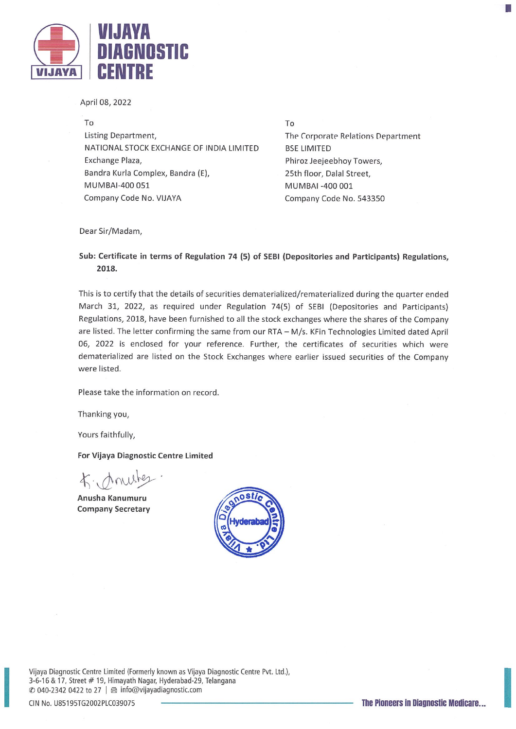

April 08, 2022

To Listing Department, NATIONAL STOCK EXCHANGE OF INDIA LIMITED Exchange Plaza, Bandra Kurla Complex, Bandra (E), MUMBAI-400 051 Company Code No. VIJAYA

To

The Corporate Relations Department BSE LIMITED Phiroz Jeejeebhoy Towers, 25th floor, Dalal Street, MUMBAI -400 001 Company Code No. 543350

B.

Dear Sir/Madam,

## Sub: Certificate in terms of Regulation 74 (5) of SEBI (Depositories and Participants) Regulations, 2018.

This is to certify that the details of securities dematerialized/rematerialized during the quarter ended March 31, 2022, as required under Regulation 74(5) of SEBI (Depositories and Participants) Regulations, 2018, have been furnished to all the stock exchanges where the shares of the Company are listed. The letter confirming the same from our RTA — M/s. KFin Technologies Limited dated April 06, 2022 is enclosed for your reference. Further, the certificates of securities which were dematerialized are listed on the Stock Exchanges where earlier issued securities of the Company were listed.

Please take the information on record.

Thanking you,

Yours faithfully,

For Vijaya Diagnostic Centre Limited

f. noustes

Anusha Kanumuru Company Secretary



Vijaya Diagnostic Centre Limited (Formerly known as Vijaya Diagnostic Centre Pvt. Ltd.), 3-6-16 & 17, Street # 19, Himayath Nagar, Hyderabad-29, Telangana  $\oslash$  040-2342 0422 to 27  $\mid$   $\oslash$  info@vijayadiagnostic.com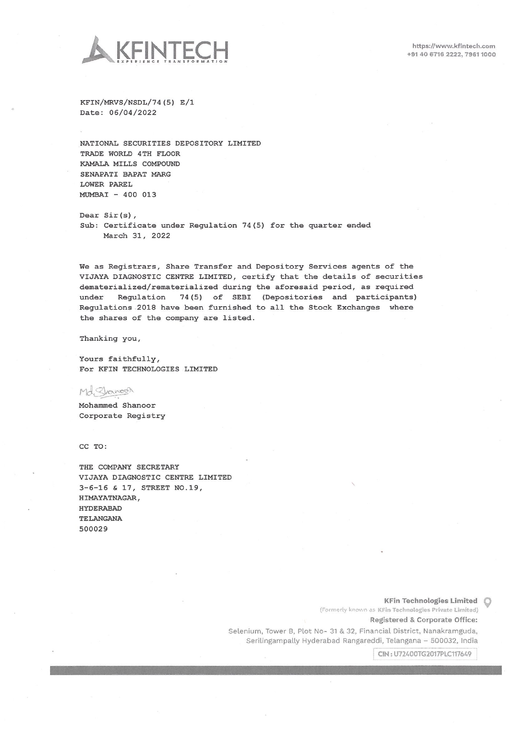

 $KFIN/MRVS/NSDL/74 (5) E/1$ Date: 06/04/2022

NATIONAL SECURITIES DEPOSITORY LIMITED TRADE WORLD 4TH FLOOR KAMALR MILLS COMPOUND SENAPATI BAPAT MARG LOWER PAREL MUMBAI — 400 013

Dear Sir(s), Sub: Certificate under Regulation 74(5) for the quarter ended March 31, 2022

We as Registrars, Share Transfer and Depository Services agents of the VIJAYA DIAGNOSTIC CENTRE LIMITED, certify that the details of securities dematerialized/rematerialized during the aforesaid period, as required under Regulation 74(5) of SEBI (Depositories and participants) Regulations <sup>2018</sup> have been furnished to all the Stock Exchanges where the shares of the company are listed.

Thanking you,

Yours faithfully, For KFIN TECHNOLOGIES LIMITED

Md Shanoon

Mohammed Shanoor Corporate Registry

CC TO:

THE COMPANY SECRETARY VIJAYA DIAGNOSTIC CENTRE LIMITED 3—6—16 & 17, STREET NO.19, HIMAYATNAGAR, HYDERABAD TELANGANA 500 02 9

KFin Technologies Limited  $\bigcirc$ 

(Formerly known as KFin Technologies Private Limited)

Registered & Corporate Office:

Selenium, Tower B, Plot No- <sup>31</sup> & 32, Financial District, Nanakramguda, Serilingampally Hyderabad Rangareddi, Telangana - 500032, India

CIN: U72400TG2017PLC117649